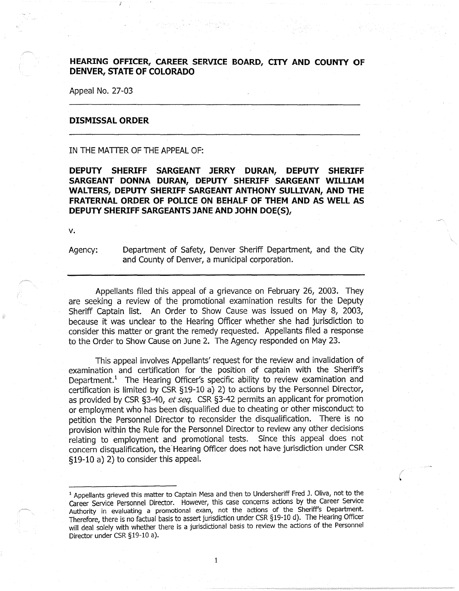## **HEARING OFFICER, CAREER SERVICE BOARD, CITY AND COUNTY OF DENVER, STATE OF COLORADO**

Appeal No. 27-03

## **DISMISSAL ORDER**

IN THE MATTER OF THE APPEAL OF:

**DEPUTY SHERIFF SARGEANT JERRY DURAN, DEPUTY SHERIFF SARGEANT DONNA DURAN, DEPUTY SHERIFF SARGEANT WILLIAM WALTERS, DEPUTY SHERIFF SARGEANT ANTHONY SULLIVAN, AND THE FRATERNAL ORDER OF POLICE ON BEHALF OF THEM AND AS WELL AS DEPUTY SHERIFF SARGEANTS JANE AND JOHN DOE(S),** 

v.

Agency: Department of Safety, Denver Sheriff Department, and the City and County of Denver, a municipal corporation.

Appellants filed this appeal of a grievance on February 26, 2003. They are seeking a review of the promotional examination results for the Deputy Sheriff Captain list. An Order to Show Cause was issued on May 8, 2003, because it was unclear to the Hearing Officer whether she had jurisdiction to consider this matter or grant the remedy requested. Appellants filed a response to the Order to Show Cause on June 2. The Agency responded on May 23.

This appeal involves Appellants' request for the review and invalidation of examination and certification for the position of captain with the Sheriff's Department.<sup>1</sup> The Hearing Officer's specific ability to review examination and certification is limited by CSR §19-10 a) 2) to actions by the Personnel Director, as provided by CSR §3-40, *et seq.* CSR §3-42 permits an applicant for promotion or employment who has been disqualified due to cheating or other misconduct to petition the Personnel Director to reconsider the disqualification. There is no provision within the Rule for the Personnel Director to review any other decisions relating to employment and promotional tests. Since this appeal does not concern disqualification, the.Hearing Officer does not have jurisdiction under CSR §19-10 a) 2) to consider this appeal.

<sup>&</sup>lt;sup>1</sup> Appellants grieved this matter to Captain Mesa and then to Undersheriff Fred J. Oliva, not to the Career Service Personnel Director. However, this case concerns actions by the Career Service Authority in evaluating a promotional exam, not the actions of the Sheriff's Department. Therefore, there is no factual basis to assert jurisdiction under CSR §19-10 d). The Hearing Officer will deal solely with whether there is a jurisdictional basis to review the actions of the Personnel Director under CSR §19-10 a).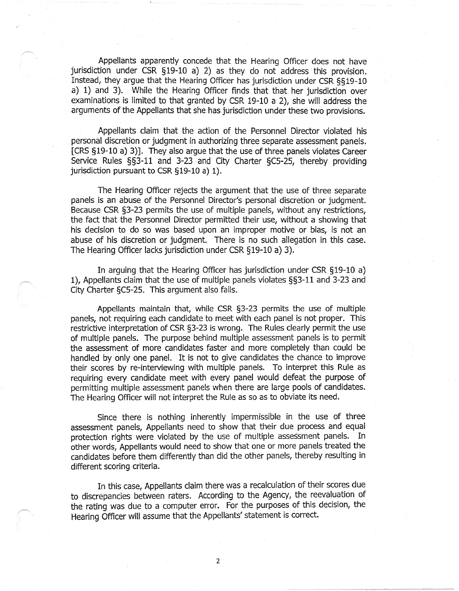Appellants apparently concede that the Hearing Officer does not have jurisdiction under CSR §19-10 a) 2) as they do not address this provision. Instead, they argue that the Hearing Officer has jurisdiction under CSR §§19-10 a) 1) and 3). While the Hearing Officer finds that that her jurisdiction over examinations is limited to that granted by CSR 19-10 a 2), she will address the arguments of the Appellants that she has jurisdiction under these two provisions.

Appellants claim that the action of the Personnel Director violated his personal discretion or judgment in authorizing three separate assessment panels. [CRS §19-10 a) 3)]. They also argue that the use of three panels violates Career Service Rules §§3-11 and 3-23 and City Charter §CS-25, thereby providing jurisdiction pursuant to CSR §19-10 a) 1).

The Hearing Officer rejects the argument that the use of three separate panels is an abuse of the Personnel Director's personal discretion or judgment. Because CSR §3-23 permits the use of multiple panels, without any restrictions, the fact that the Personnel Director permitted their use, without a showing that his decision to do so was based upon an improper motive or bias, is not an abuse of his discretion or judgment. There is no such allegation in this case. The Hearing Officer lacks jurisdiction under CSR §19-10 a) 3).

In arguing that the Hearing Officer has jurisdiction under CSR §19-10 a) 1), Appellants claim that the use of multiple panels violates §§3-11 and 3-23 and City Charter §CS-25. This argument also fails.

Appellants maintain that, while CSR §3-23 permits the use of multiple panels, not requiring each candidate to meet with each panel is not proper. This restrictive interpretation of CSR §3-23 is wrong. The Rules clearly permit the use of multiple panels. The purpose behind multiple assessment panels is to permit the assessment of more candidates faster and more completely than could be handled by only one panel. It is not to give candidates the chance to improve their scores by re-interviewing with multiple panels. To interpret this Rule as requiring every candidate meet with every panel would defeat the purpose of permitting multiple assessment panels when there are large pools of candidates. The Hearing Officer will not interpret the Rule as so as to obviate its need.

Since there is nothing inherently impermissible in the use of three assessment paneis, Appellants need to show that their due process and equal protection rights were violated by the use of multiple assessment panels. In other words, Appellants would need to show that one or more panels treated the candidates before them differently than did the other panels, thereby resulting in different scoring criteria.

In this case, Appellants claim there was a recalculation of their scores due to discrepancies between raters. According to the Agency, the reevaluation of the rating was due to a computer error. For the purposes of this decision, the Hearing Officer will assume that the Appellants' statement is correct.